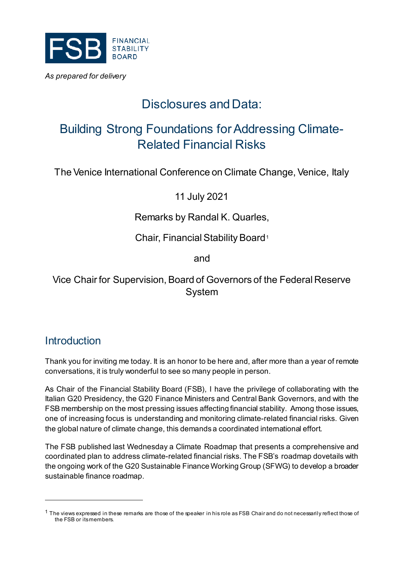

# Disclosures and Data:

## Building Strong Foundations for Addressing Climate-Related Financial Risks

The Venice International Conference on Climate Change, Venice, Italy

11 July 2021

#### Remarks by Randal K. Quarles,

Chair, Financial Stability Board[1](#page-0-0)

and

Vice Chair for Supervision, Board of Governors of the Federal Reserve System

### **Introduction**

-

Thank you for inviting me today. It is an honor to be here and, after more than a year of remote conversations, it is truly wonderful to see so many people in person.

As Chair of the Financial Stability Board (FSB), I have the privilege of collaborating with the Italian G20 Presidency, the G20 Finance Ministers and Central Bank Governors, and with the FSB membership on the most pressing issues affecting financial stability. Among those issues, one of increasing focus is understanding and monitoring climate-related financial risks. Given the global nature of climate change, this demands a coordinated international effort.

The FSB published last Wednesday a Climate Roadmap that presents a comprehensive and coordinated plan to address climate-related financial risks. The FSB's roadmap dovetails with the ongoing work of the G20 Sustainable Finance Working Group (SFWG) to develop a broader sustainable finance roadmap.

<span id="page-0-0"></span> $1$  The views expressed in these remarks are those of the speaker in his role as FSB Chair and do not necessarily reflect those of the FSB or its members.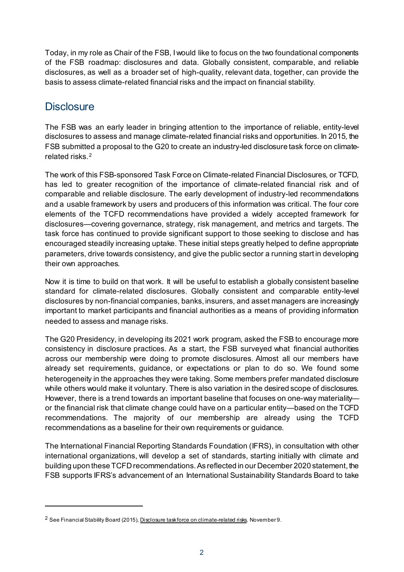Today, in my role as Chair of the FSB, I would like to focus on the two foundational components of the FSB roadmap: disclosures and data. Globally consistent, comparable, and reliable disclosures, as well as a broader set of high-quality, relevant data, together, can provide the basis to assess climate-related financial risks and the impact on financial stability.

#### **Disclosure**

-

The FSB was an early leader in bringing attention to the importance of reliable, entity-level disclosures to assess and manage climate-related financial risks and opportunities. In 2015, the FSB submitted a proposal to the G20 to create an industry-led disclosure task force on climaterelated risks.[2](#page-1-0)

The work of this FSB-sponsored Task Force on Climate-related Financial Disclosures, or TCFD, has led to greater recognition of the importance of climate-related financial risk and of comparable and reliable disclosure. The early development of industry-led recommendations and a usable framework by users and producers of this information was critical. The four core elements of the TCFD recommendations have provided a widely accepted framework for disclosures—covering governance, strategy, risk management, and metrics and targets. The task force has continued to provide significant support to those seeking to disclose and has encouraged steadily increasing uptake. These initial steps greatly helped to define appropriate parameters, drive towards consistency, and give the public sector a running start in developing their own approaches.

Now it is time to build on that work. It will be useful to establish a globally consistent baseline standard for climate-related disclosures. Globally consistent and comparable entity-level disclosures by non-financial companies, banks, insurers, and asset managers are increasingly important to market participants and financial authorities as a means of providing information needed to assess and manage risks.

The G20 Presidency, in developing its 2021 work program, asked the FSB to encourage more consistency in disclosure practices. As a start, the FSB surveyed what financial authorities across our membership were doing to promote disclosures. Almost all our members have already set requirements, guidance, or expectations or plan to do so. We found some heterogeneity in the approaches they were taking. Some members prefer mandated disclosure while others would make it voluntary. There is also variation in the desired scope of disclosures. However, there is a trend towards an important baseline that focuses on one-way materiality or the financial risk that climate change could have on a particular entity—based on the TCFD recommendations. The majority of our membership are already using the TCFD recommendations as a baseline for their own requirements or guidance.

The International Financial Reporting Standards Foundation (IFRS), in consultation with other international organizations, will develop a set of standards, starting initially with climate and building upon these TCFD recommendations. As reflected in our December 2020 statement, the FSB supports IFRS's advancement of an International Sustainability Standards Board to take

<span id="page-1-0"></span><sup>&</sup>lt;sup>2</sup> See Financial Stability Board (2015)[, Disclosure task force on climate-related risks,](https://www.fsb.org/2015/11/disclosure-task-force-on-climate-related-risks-2/) November 9.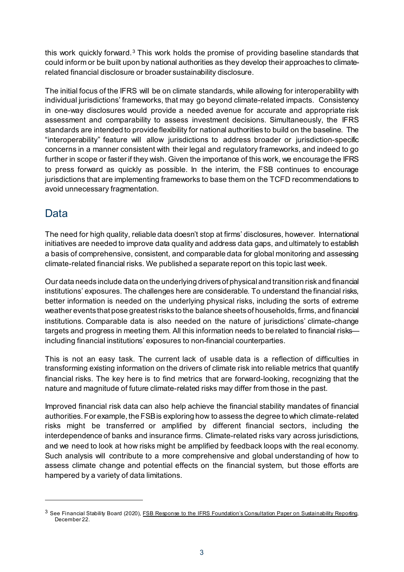this work quickly forward.[3](#page-2-0) This work holds the promise of providing baseline standards that could inform or be built upon by national authorities as they develop their approaches to climaterelated financial disclosure or broader sustainability disclosure.

The initial focus of the IFRS will be on climate standards, while allowing for interoperability with individual jurisdictions' frameworks, that may go beyond climate-related impacts. Consistency in one-way disclosures would provide a needed avenue for accurate and appropriate risk assessment and comparability to assess investment decisions. Simultaneously, the IFRS standards are intended to provide flexibility for national authorities to build on the baseline. The "interoperability" feature will allow jurisdictions to address broader or jurisdiction-specific concerns in a manner consistent with their legal and regulatory frameworks, and indeed to go further in scope or faster if they wish. Given the importance of this work, we encourage the IFRS to press forward as quickly as possible. In the interim, the FSB continues to encourage jurisdictions that are implementing frameworks to base them on the TCFD recommendations to avoid unnecessary fragmentation.

## Data

-

The need for high quality, reliable data doesn't stop at firms' disclosures, however. International initiatives are needed to improve data quality and address data gaps, and ultimately to establish a basis of comprehensive, consistent, and comparable data for global monitoring and assessing climate-related financial risks. We published a separate report on this topic last week.

Our data needs include data on the underlying drivers of physical and transition risk and financial institutions' exposures. The challenges here are considerable. To understand the financial risks, better information is needed on the underlying physical risks, including the sorts of extreme weather events that pose greatest risks to the balance sheets of households, firms, and financial institutions. Comparable data is also needed on the nature of jurisdictions' climate-change targets and progress in meeting them. All this information needs to be related to financial risks including financial institutions' exposures to non-financial counterparties.

This is not an easy task. The current lack of usable data is a reflection of difficulties in transforming existing information on the drivers of climate risk into reliable metrics that quantify financial risks. The key here is to find metrics that are forward-looking, recognizing that the nature and magnitude of future climate-related risks may differ from those in the past.

Improved financial risk data can also help achieve the financial stability mandates of financial authorities. For example, the FSB is exploring how to assess the degree to which climate-related risks might be transferred or amplified by different financial sectors, including the interdependence of banks and insurance firms. Climate-related risks vary across jurisdictions, and we need to look at how risks might be amplified by feedback loops with the real economy. Such analysis will contribute to a more comprehensive and global understanding of how to assess climate change and potential effects on the financial system, but those efforts are hampered by a variety of data limitations.

<span id="page-2-0"></span><sup>&</sup>lt;sup>3</sup> See Financial Stability Board (2020), **FSB Response to the IFRS Foundation's Consultation Paper on Sustainability Reporting,** December 22.